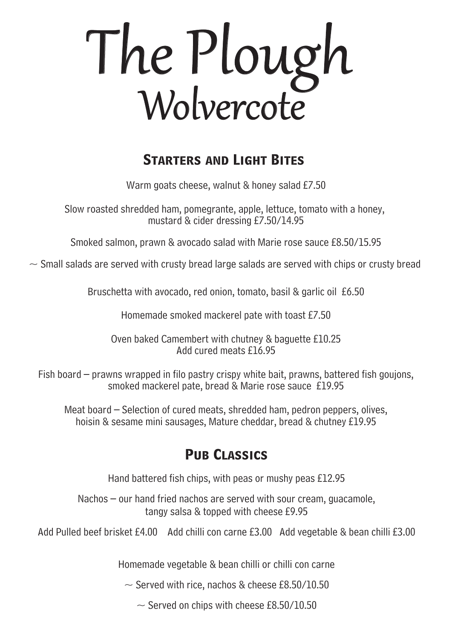# The Plough Wolvercote

# **Starters and Light Bites**

Warm goats cheese, walnut & honey salad £7.50

Slow roasted shredded ham, pomegrante, apple, lettuce, tomato with a honey, mustard & cider dressing £7.50/14.95

Smoked salmon, prawn & avocado salad with Marie rose sauce £8.50/15.95

 $\sim$  Small salads are served with crusty bread large salads are served with chips or crusty bread

Bruschetta with avocado, red onion, tomato, basil & garlic oil £6.50

Homemade smoked mackerel pate with toast £7.50

Oven baked Camembert with chutney & baguette £10.25 Add cured meats £16.95

Fish board – prawns wrapped in filo pastry crispy white bait, prawns, battered fish goujons, smoked mackerel pate, bread & Marie rose sauce £19.95

Meat board – Selection of cured meats, shredded ham, pedron peppers, olives, hoisin & sesame mini sausages, Mature cheddar, bread & chutney £19.95

# **Pub Classics**

Hand battered fish chips, with peas or mushy peas £12.95

## Nachos – our hand fried nachos are served with sour cream, guacamole, tangy salsa & topped with cheese £9.95

Add Pulled beef brisket £4.00 Add chilli con carne £3.00 Add vegetable & bean chilli £3.00

Homemade vegetable & bean chilli or chilli con carne

 $\sim$  Served with rice, nachos & cheese £8.50/10.50

 $\sim$  Served on chips with cheese £8.50/10.50